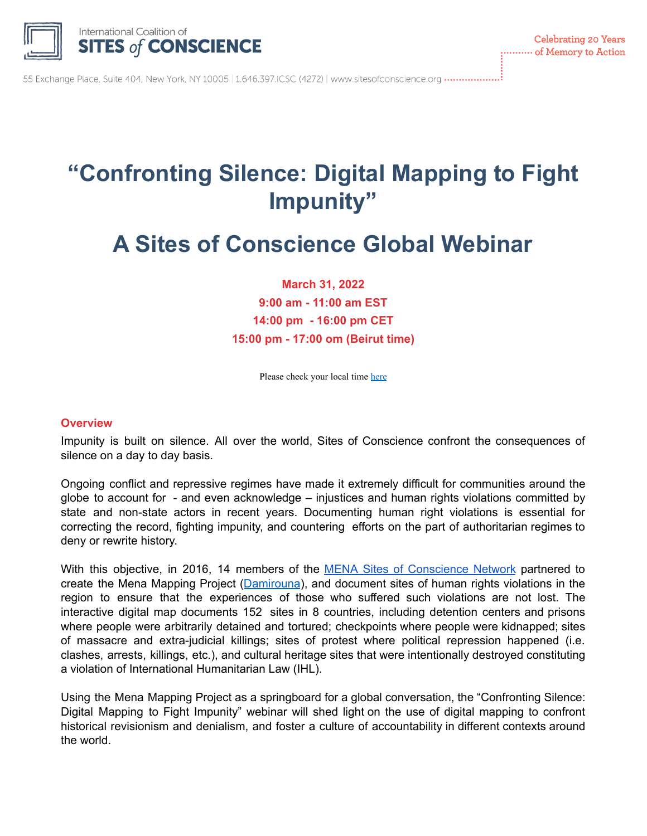



# **"Confronting Silence: Digital Mapping to Fight Impunity"**

## **A Sites of Conscience Global Webinar**

**March 31, 2022**

**9:00 am - 11:00 am EST 14:00 pm - 16:00 pm CET 15:00 pm - 17:00 om (Beirut time)**

Please check your local time [here](https://www.timeanddate.com/worldclock/meeting.html)

#### **Overview**

Impunity is built on silence. All over the world, Sites of Conscience confront the consequences of silence on a day to day basis.

Ongoing conflict and repressive regimes have made it extremely difficult for communities around the globe to account for - and even acknowledge – injustices and human rights violations committed by state and non-state actors in recent years. Documenting human right violations is essential for correcting the record, fighting impunity, and countering efforts on the part of authoritarian regimes to deny or rewrite history.

With this objective, in 2016, 14 members of the MENA Sites of [Conscience](https://www.sitesofconscience.org/en/middle-east-and-northern-africa-mena-regional-network/) Network partnered to create the Mena Mapping Project ([Damirouna](https://mappingmena.org/)), and document sites of human rights violations in the region to ensure that the experiences of those who suffered such violations are not lost. The interactive digital map documents 152 sites in 8 countries, including detention centers and prisons where people were arbitrarily detained and tortured; checkpoints where people were kidnapped; sites of massacre and extra-judicial killings; sites of protest where political repression happened (i.e. clashes, arrests, killings, etc.), and cultural heritage sites that were intentionally destroyed constituting a violation of International Humanitarian Law (IHL).

Using the Mena Mapping Project as a springboard for a global conversation, the "Confronting Silence: Digital Mapping to Fight Impunity" webinar will shed light on the use of digital mapping to confront historical revisionism and denialism, and foster a culture of accountability in different contexts around the world.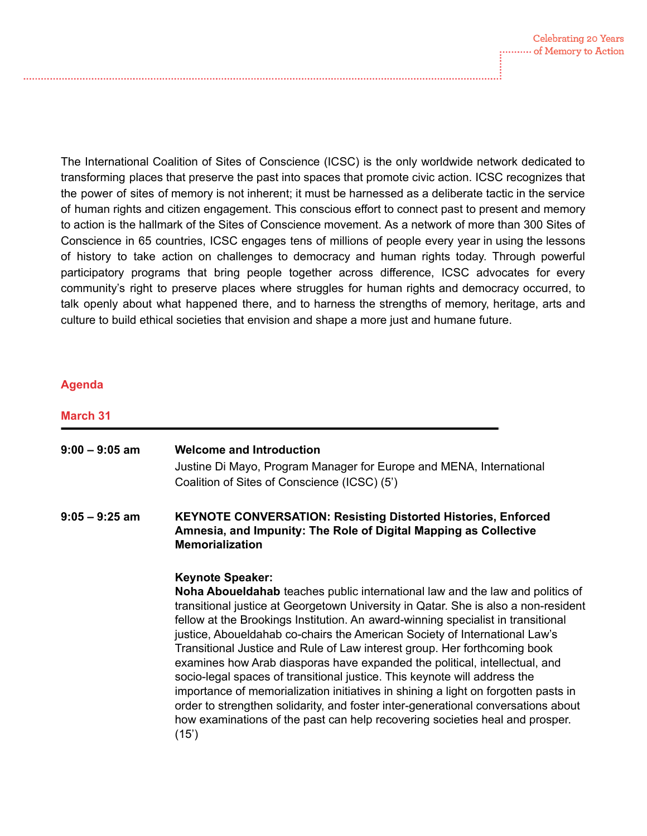The International Coalition of Sites of Conscience (ICSC) is the only worldwide network dedicated to transforming places that preserve the past into spaces that promote civic action. ICSC recognizes that the power of sites of memory is not inherent; it must be harnessed as a deliberate tactic in the service of human rights and citizen engagement. This conscious effort to connect past to present and memory to action is the hallmark of the Sites of Conscience movement. As a network of more than 300 Sites of Conscience in 65 countries, ICSC engages tens of millions of people every year in using the lessons of history to take action on challenges to democracy and human rights today. Through powerful participatory programs that bring people together across difference, ICSC advocates for every community's right to preserve places where struggles for human rights and democracy occurred, to talk openly about what happened there, and to harness the strengths of memory, heritage, arts and culture to build ethical societies that envision and shape a more just and humane future.

### **Agenda**

| $9:00 - 9:05$ am | <b>Welcome and Introduction</b><br>Justine Di Mayo, Program Manager for Europe and MENA, International<br>Coalition of Sites of Conscience (ICSC) (5')                                                                                                                                                                                                                                                                                                                                                                                                                                                                                                                                                                                                                                                                                                                       |
|------------------|------------------------------------------------------------------------------------------------------------------------------------------------------------------------------------------------------------------------------------------------------------------------------------------------------------------------------------------------------------------------------------------------------------------------------------------------------------------------------------------------------------------------------------------------------------------------------------------------------------------------------------------------------------------------------------------------------------------------------------------------------------------------------------------------------------------------------------------------------------------------------|
| $9:05 - 9:25$ am | <b>KEYNOTE CONVERSATION: Resisting Distorted Histories, Enforced</b><br>Amnesia, and Impunity: The Role of Digital Mapping as Collective<br><b>Memorialization</b>                                                                                                                                                                                                                                                                                                                                                                                                                                                                                                                                                                                                                                                                                                           |
|                  | <b>Keynote Speaker:</b><br>Noha Aboueldahab teaches public international law and the law and politics of<br>transitional justice at Georgetown University in Qatar. She is also a non-resident<br>fellow at the Brookings Institution. An award-winning specialist in transitional<br>justice, Aboueldahab co-chairs the American Society of International Law's<br>Transitional Justice and Rule of Law interest group. Her forthcoming book<br>examines how Arab diasporas have expanded the political, intellectual, and<br>socio-legal spaces of transitional justice. This keynote will address the<br>importance of memorialization initiatives in shining a light on forgotten pasts in<br>order to strengthen solidarity, and foster inter-generational conversations about<br>how examinations of the past can help recovering societies heal and prosper.<br>(15') |